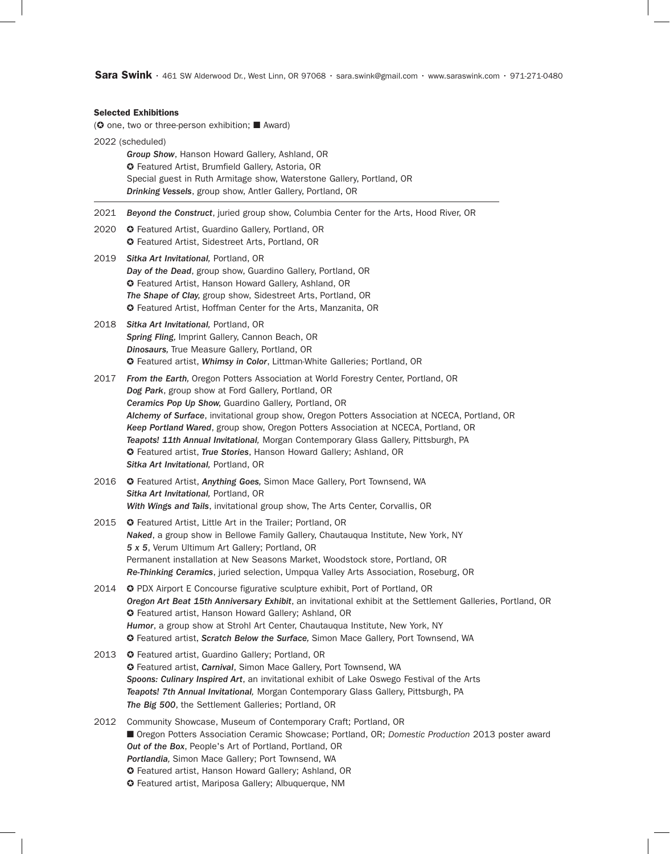**Sara Swink** • 461 SW Alderwood Dr., West Linn, OR 97068 • sara.swink@gmail.com • www.saraswink.com • 971-271-0480

#### Selected Exhibitions

( $\odot$  one, two or three-person exhibition;  $\blacksquare$  Award)

2022 (scheduled) *Group Show*, Hanson Howard Gallery, Ashland, OR ✪ Featured Artist, Brumfield Gallery, Astoria, OR Special guest in Ruth Armitage show, Waterstone Gallery, Portland, OR *Drinking Vessels*, group show, Antler Gallery, Portland, OR 2021 *Beyond the Construct*, juried group show, Columbia Center for the Arts, Hood River, OR 2020 **C** Featured Artist, Guardino Gallery, Portland, OR ✪ Featured Artist, Sidestreet Arts, Portland, OR 2019 *Sitka Art Invitational,* Portland, OR *Day of the Dead*, group show, Guardino Gallery, Portland, OR ✪ Featured Artist, Hanson Howard Gallery, Ashland, OR *The Shape of Clay,* group show, Sidestreet Arts, Portland, OR ✪ Featured Artist, Hoffman Center for the Arts, Manzanita, OR 2018 *Sitka Art Invitational,* Portland, OR *Spring Fling,* Imprint Gallery, Cannon Beach, OR *Dinosaurs,* True Measure Gallery, Portland, OR ✪ Featured artist, *Whimsy in Color*, Littman-White Galleries; Portland, OR 2017 *From the Earth,* Oregon Potters Association at World Forestry Center, Portland, OR *Dog Park*, group show at Ford Gallery, Portland, OR *Ceramics Pop Up Show,* Guardino Gallery*,* Portland, OR *Alchemy of Surface*, invitational group show, Oregon Potters Association at NCECA, Portland, OR *Keep Portland Wared*, group show, Oregon Potters Association at NCECA, Portland, OR *Teapots! 11th Annual Invitational,* Morgan Contemporary Glass Gallery, Pittsburgh, PA ✪ Featured artist, *True Stories*, Hanson Howard Gallery; Ashland, OR *Sitka Art Invitational,* Portland, OR 2016 ✪ Featured Artist, *Anything Goes,* Simon Mace Gallery, Port Townsend, WA *Sitka Art Invitational,* Portland, OR *With Wings and Tails*, invitational group show, The Arts Center, Corvallis, OR 2015 ✪ Featured Artist, Little Art in the Trailer; Portland, OR *Naked*, a group show in Bellowe Family Gallery, Chautauqua Institute, New York, NY *5 x 5*, Verum Ultimum Art Gallery; Portland, OR Permanent installation at New Seasons Market, Woodstock store, Portland, OR *Re-Thinking Ceramics*, juried selection, Umpqua Valley Arts Association, Roseburg, OR 2014 **C** PDX Airport E Concourse figurative sculpture exhibit, Port of Portland, OR *Oregon Art Beat 15th Anniversary Exhibit*, an invitational exhibit at the Settlement Galleries, Portland, OR ✪ Featured artist, Hanson Howard Gallery; Ashland, OR *Humor*, a group show at Strohl Art Center, Chautauqua Institute, New York, NY ✪ Featured artist, *Scratch Below the Surface,* Simon Mace Gallery, Port Townsend, WA 2013 **C** Featured artist, Guardino Gallery; Portland, OR ✪ Featured artist, *Carnival*, Simon Mace Gallery, Port Townsend, WA *Spoons: Culinary Inspired Art*, an invitational exhibit of Lake Oswego Festival of the Arts *Teapots! 7th Annual Invitational,* Morgan Contemporary Glass Gallery, Pittsburgh, PA *The Big 500*, the Settlement Galleries; Portland, OR 2012 Community Showcase, Museum of Contemporary Craft; Portland, OR ■ Oregon Potters Association Ceramic Showcase; Portland, OR; *Domestic Production* 2013 poster award *Out of the Box*, People's Art of Portland, Portland, OR *Portlandia,* Simon Mace Gallery; Port Townsend, WA ✪ Featured artist, Hanson Howard Gallery; Ashland, OR ✪ Featured artist, Mariposa Gallery; Albuquerque, NM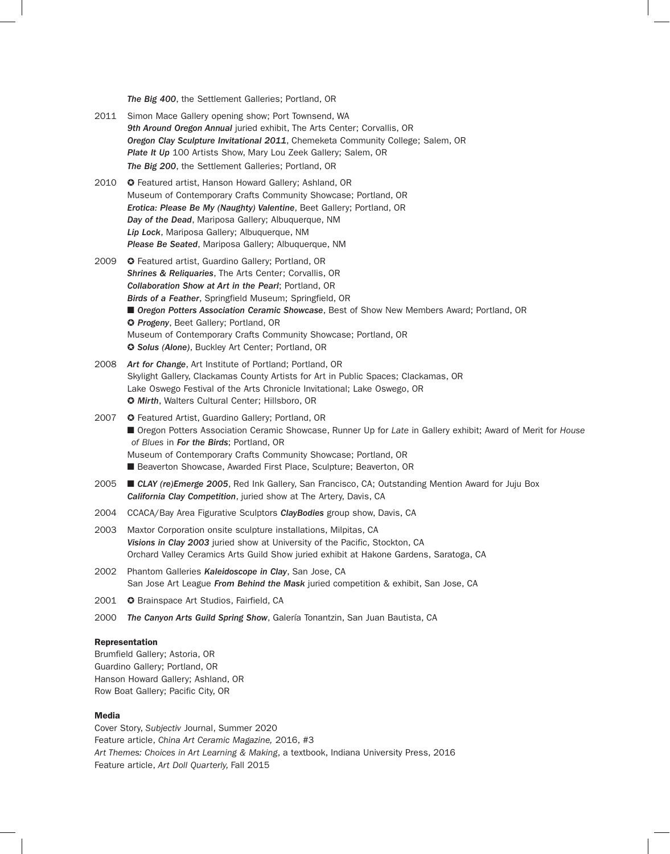*The Big 400*, the Settlement Galleries; Portland, OR

- 2011 Simon Mace Gallery opening show; Port Townsend, WA *9th Around Oregon Annual* juried exhibit, The Arts Center; Corvallis, OR *Oregon Clay Sculpture Invitational 2011*, Chemeketa Community College; Salem, OR **Plate It Up** 100 Artists Show, Mary Lou Zeek Gallery; Salem, OR *The Big 200*, the Settlement Galleries; Portland, OR
- 2010 **C** Featured artist, Hanson Howard Gallery: Ashland, OR Museum of Contemporary Crafts Community Showcase; Portland, OR *Erotica: Please Be My (Naughty) Valentine*, Beet Gallery; Portland, OR *Day of the Dead*, Mariposa Gallery; Albuquerque, NM *Lip Lock*, Mariposa Gallery; Albuquerque, NM *Please Be Seated*, Mariposa Gallery; Albuquerque, NM
- 2009 **C** Featured artist, Guardino Gallery; Portland, OR *Shrines & Reliquaries*, The Arts Center; Corvallis, OR *Collaboration Show at Art in the Pearl*; Portland, OR *Birds of a Feather*, Springfield Museum; Springfield, OR ■ Oregon Potters Association Ceramic Showcase, Best of Show New Members Award; Portland, OR ✪ *Progeny*, Beet Gallery; Portland, OR Museum of Contemporary Crafts Community Showcase; Portland, OR ✪ *Solus (Alone)*, Buckley Art Center; Portland, OR
- 2008 *Art for Change*, Art Institute of Portland; Portland, OR Skylight Gallery, Clackamas County Artists for Art in Public Spaces; Clackamas, OR Lake Oswego Festival of the Arts Chronicle Invitational; Lake Oswego, OR ✪ *Mirth*, Walters Cultural Center; Hillsboro, OR
- 2007 © Featured Artist, Guardino Gallery; Portland, OR ■ Oregon Potters Association Ceramic Showcase, Runner Up for *Late* in Gallery exhibit; Award of Merit for *House of Blues* in *For the Birds*; Portland, OR Museum of Contemporary Crafts Community Showcase; Portland, OR ■ Beaverton Showcase, Awarded First Place, Sculpture; Beaverton, OR
- 2005  **CLAY (re)Emerge 2005**, Red Ink Gallery, San Francisco, CA; Outstanding Mention Award for Juju Box *California Clay Competition*, juried show at The Artery, Davis, CA
- 2004 CCACA/Bay Area Figurative Sculptors *ClayBodies* group show, Davis, CA
- 2003 Maxtor Corporation onsite sculpture installations, Milpitas, CA *Visions in Clay 2003* juried show at University of the Pacific, Stockton, CA Orchard Valley Ceramics Arts Guild Show juried exhibit at Hakone Gardens, Saratoga, CA
- 2002 Phantom Galleries *Kaleidoscope in Clay*, San Jose, CA San Jose Art League *From Behind the Mask* juried competition & exhibit, San Jose, CA
- 2001 **C** Brainspace Art Studios, Fairfield, CA
- 2000 *The Canyon Arts Guild Spring Show*, Galería Tonantzin, San Juan Bautista, CA

## Representation

Brumfield Gallery; Astoria, OR Guardino Gallery; Portland, OR Hanson Howard Gallery; Ashland, OR Row Boat Gallery; Pacific City, OR

#### Media

Cover Story, *Subjectiv* Journal, Summer 2020 Feature article, *China Art Ceramic Magazine,* 2016, #3 *Art Themes: Choices in Art Learning & Making*, a textbook, Indiana University Press, 2016 Feature article, *Art Doll Quarterly,* Fall 2015